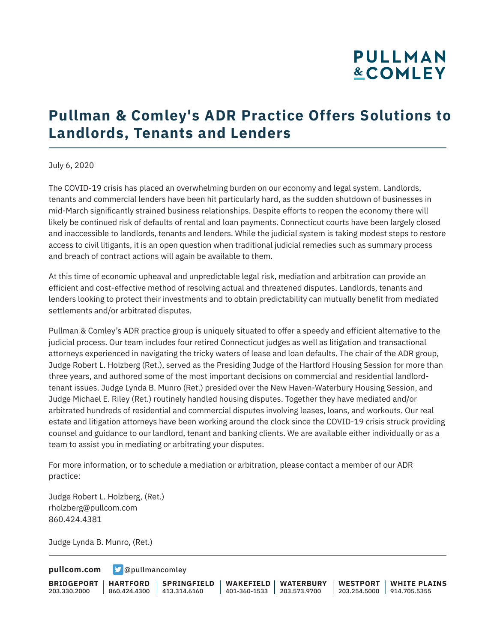# **PULLMAN &COMLEY**

## **Pullman & Comley's ADR Practice Offers Solutions to Landlords, Tenants and Lenders**

#### July 6, 2020

The COVID-19 crisis has placed an overwhelming burden on our economy and legal system. Landlords, tenants and commercial lenders have been hit particularly hard, as the sudden shutdown of businesses in mid-March significantly strained business relationships. Despite efforts to reopen the economy there will likely be continued risk of defaults of rental and loan payments. Connecticut courts have been largely closed and inaccessible to landlords, tenants and lenders. While the judicial system is taking modest steps to restore access to civil litigants, it is an open question when traditional judicial remedies such as summary process and breach of contract actions will again be available to them.

At this time of economic upheaval and unpredictable legal risk, mediation and arbitration can provide an efficient and cost-effective method of resolving actual and threatened disputes. Landlords, tenants and lenders looking to protect their investments and to obtain predictability can mutually benefit from mediated settlements and/or arbitrated disputes.

Pullman & Comley's ADR practice group is uniquely situated to offer a speedy and efficient alternative to the judicial process. Our team includes four retired Connecticut judges as well as litigation and transactional attorneys experienced in navigating the tricky waters of lease and loan defaults. The chair of the ADR group, Judge Robert L. Holzberg (Ret.), served as the Presiding Judge of the Hartford Housing Session for more than three years, and authored some of the most important decisions on commercial and residential landlordtenant issues. Judge Lynda B. Munro (Ret.) presided over the New Haven-Waterbury Housing Session, and Judge Michael E. Riley (Ret.) routinely handled housing disputes. Together they have mediated and/or arbitrated hundreds of residential and commercial disputes involving leases, loans, and workouts. Our real estate and litigation attorneys have been working around the clock since the COVID-19 crisis struck providing counsel and guidance to our landlord, tenant and banking clients. We are available either individually or as a team to assist you in mediating or arbitrating your disputes.

For more information, or to schedule a mediation or arbitration, please contact a member of our ADR practice:

Judge Robert L. Holzberg, (Ret.) rholzberg@pullcom.com 860.424.4381

Judge Lynda B. Munro, (Ret.)

**[pullcom.com](https://www.pullcom.com) g** [@pullmancomley](https://twitter.com/PullmanComley)

**BRIDGEPORT** 203.330.2000

**HARTFORD** 860.424.4300 413.314.6160 **SPRINGFIELD** **WAKEFIELD** 401-360-1533 203.573.9700 **WATERBURY**

**WESTPORT WHITE PLAINS** 203.254.5000 914.705.5355